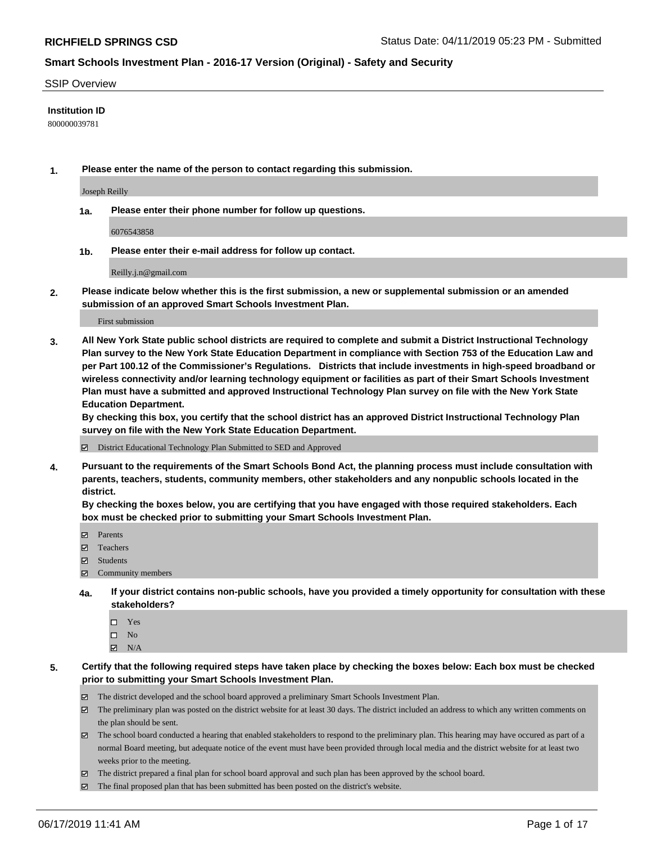#### SSIP Overview

#### **Institution ID**

800000039781

**1. Please enter the name of the person to contact regarding this submission.**

Joseph Reilly

**1a. Please enter their phone number for follow up questions.**

6076543858

**1b. Please enter their e-mail address for follow up contact.**

Reilly.j.n@gmail.com

**2. Please indicate below whether this is the first submission, a new or supplemental submission or an amended submission of an approved Smart Schools Investment Plan.**

First submission

**3. All New York State public school districts are required to complete and submit a District Instructional Technology Plan survey to the New York State Education Department in compliance with Section 753 of the Education Law and per Part 100.12 of the Commissioner's Regulations. Districts that include investments in high-speed broadband or wireless connectivity and/or learning technology equipment or facilities as part of their Smart Schools Investment Plan must have a submitted and approved Instructional Technology Plan survey on file with the New York State Education Department.** 

**By checking this box, you certify that the school district has an approved District Instructional Technology Plan survey on file with the New York State Education Department.**

District Educational Technology Plan Submitted to SED and Approved

**4. Pursuant to the requirements of the Smart Schools Bond Act, the planning process must include consultation with parents, teachers, students, community members, other stakeholders and any nonpublic schools located in the district.** 

**By checking the boxes below, you are certifying that you have engaged with those required stakeholders. Each box must be checked prior to submitting your Smart Schools Investment Plan.**

- Parents
- Teachers
- Students
- Community members
- **4a. If your district contains non-public schools, have you provided a timely opportunity for consultation with these stakeholders?**
	- □ Yes
	- $\square$  No
	- $N/A$
- **5. Certify that the following required steps have taken place by checking the boxes below: Each box must be checked prior to submitting your Smart Schools Investment Plan.**
	- The district developed and the school board approved a preliminary Smart Schools Investment Plan.
	- $\boxtimes$  The preliminary plan was posted on the district website for at least 30 days. The district included an address to which any written comments on the plan should be sent.
	- $\boxtimes$  The school board conducted a hearing that enabled stakeholders to respond to the preliminary plan. This hearing may have occured as part of a normal Board meeting, but adequate notice of the event must have been provided through local media and the district website for at least two weeks prior to the meeting.
	- The district prepared a final plan for school board approval and such plan has been approved by the school board.
	- $\boxtimes$  The final proposed plan that has been submitted has been posted on the district's website.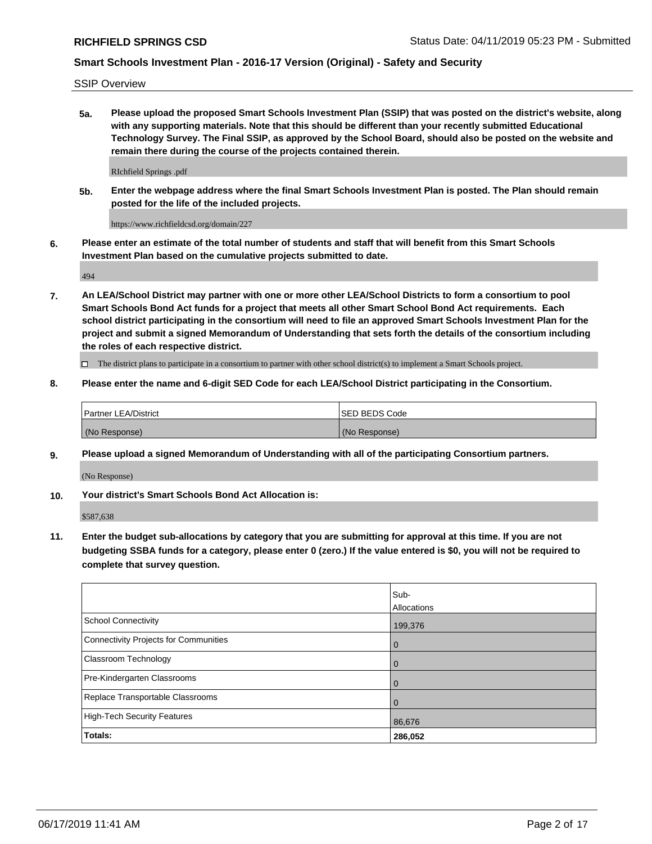SSIP Overview

**5a. Please upload the proposed Smart Schools Investment Plan (SSIP) that was posted on the district's website, along with any supporting materials. Note that this should be different than your recently submitted Educational Technology Survey. The Final SSIP, as approved by the School Board, should also be posted on the website and remain there during the course of the projects contained therein.**

RIchfield Springs .pdf

**5b. Enter the webpage address where the final Smart Schools Investment Plan is posted. The Plan should remain posted for the life of the included projects.**

https://www.richfieldcsd.org/domain/227

**6. Please enter an estimate of the total number of students and staff that will benefit from this Smart Schools Investment Plan based on the cumulative projects submitted to date.**

494

**7. An LEA/School District may partner with one or more other LEA/School Districts to form a consortium to pool Smart Schools Bond Act funds for a project that meets all other Smart School Bond Act requirements. Each school district participating in the consortium will need to file an approved Smart Schools Investment Plan for the project and submit a signed Memorandum of Understanding that sets forth the details of the consortium including the roles of each respective district.**

 $\Box$  The district plans to participate in a consortium to partner with other school district(s) to implement a Smart Schools project.

#### **8. Please enter the name and 6-digit SED Code for each LEA/School District participating in the Consortium.**

| Partner LEA/District | <b>ISED BEDS Code</b> |
|----------------------|-----------------------|
| (No Response)        | (No Response)         |

#### **9. Please upload a signed Memorandum of Understanding with all of the participating Consortium partners.**

(No Response)

**10. Your district's Smart Schools Bond Act Allocation is:**

\$587,638

**11. Enter the budget sub-allocations by category that you are submitting for approval at this time. If you are not budgeting SSBA funds for a category, please enter 0 (zero.) If the value entered is \$0, you will not be required to complete that survey question.**

|                                       | Sub-<br>Allocations |
|---------------------------------------|---------------------|
| <b>School Connectivity</b>            | 199,376             |
| Connectivity Projects for Communities | $\overline{0}$      |
| <b>Classroom Technology</b>           | 0                   |
| Pre-Kindergarten Classrooms           | 0                   |
| Replace Transportable Classrooms      | $\Omega$            |
| High-Tech Security Features           | 86,676              |
| Totals:                               | 286,052             |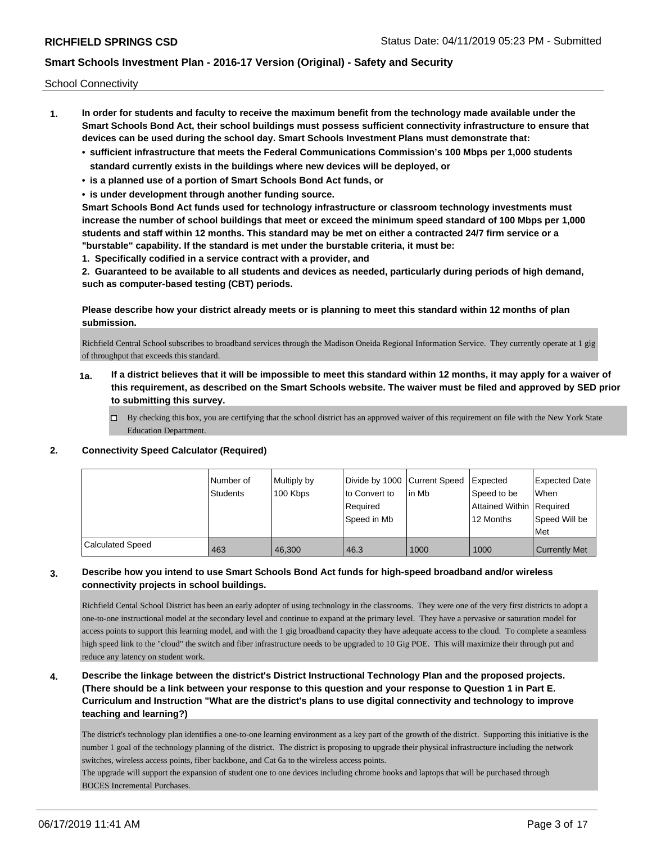School Connectivity

- **1. In order for students and faculty to receive the maximum benefit from the technology made available under the Smart Schools Bond Act, their school buildings must possess sufficient connectivity infrastructure to ensure that devices can be used during the school day. Smart Schools Investment Plans must demonstrate that:**
	- **• sufficient infrastructure that meets the Federal Communications Commission's 100 Mbps per 1,000 students standard currently exists in the buildings where new devices will be deployed, or**
	- **• is a planned use of a portion of Smart Schools Bond Act funds, or**
	- **• is under development through another funding source.**

**Smart Schools Bond Act funds used for technology infrastructure or classroom technology investments must increase the number of school buildings that meet or exceed the minimum speed standard of 100 Mbps per 1,000 students and staff within 12 months. This standard may be met on either a contracted 24/7 firm service or a "burstable" capability. If the standard is met under the burstable criteria, it must be:**

**1. Specifically codified in a service contract with a provider, and**

**2. Guaranteed to be available to all students and devices as needed, particularly during periods of high demand, such as computer-based testing (CBT) periods.**

#### **Please describe how your district already meets or is planning to meet this standard within 12 months of plan submission.**

Richfield Central School subscribes to broadband services through the Madison Oneida Regional Information Service. They currently operate at 1 gig of throughput that exceeds this standard.

- **1a. If a district believes that it will be impossible to meet this standard within 12 months, it may apply for a waiver of this requirement, as described on the Smart Schools website. The waiver must be filed and approved by SED prior to submitting this survey.**
	- $\Box$  By checking this box, you are certifying that the school district has an approved waiver of this requirement on file with the New York State Education Department.

#### **2. Connectivity Speed Calculator (Required)**

|                         | l Number of<br><b>Students</b> | Multiply by<br>100 Kbps | Divide by 1000 Current Speed<br>to Convert to<br>Reauired<br>Speed in Mb | l in Mb | <b>Expected</b><br>Speed to be<br>Attained Within   Required<br>12 Months | Expected Date<br>When<br>Speed Will be<br>Met |
|-------------------------|--------------------------------|-------------------------|--------------------------------------------------------------------------|---------|---------------------------------------------------------------------------|-----------------------------------------------|
| <b>Calculated Speed</b> | 463                            | 46.300                  | 46.3                                                                     | 1000    | 1000                                                                      | <b>Currently Met</b>                          |

## **3. Describe how you intend to use Smart Schools Bond Act funds for high-speed broadband and/or wireless connectivity projects in school buildings.**

Richfield Cental School District has been an early adopter of using technology in the classrooms. They were one of the very first districts to adopt a one-to-one instructional model at the secondary level and continue to expand at the primary level. They have a pervasive or saturation model for access points to support this learning model, and with the 1 gig broadband capacity they have adequate access to the cloud. To complete a seamless high speed link to the "cloud" the switch and fiber infrastructure needs to be upgraded to 10 Gig POE. This will maximize their through put and reduce any latency on student work.

## **4. Describe the linkage between the district's District Instructional Technology Plan and the proposed projects. (There should be a link between your response to this question and your response to Question 1 in Part E. Curriculum and Instruction "What are the district's plans to use digital connectivity and technology to improve teaching and learning?)**

The district's technology plan identifies a one-to-one learning environment as a key part of the growth of the district. Supporting this initiative is the number 1 goal of the technology planning of the district. The district is proposing to upgrade their physical infrastructure including the network switches, wireless access points, fiber backbone, and Cat 6a to the wireless access points.

The upgrade will support the expansion of student one to one devices including chrome books and laptops that will be purchased through BOCES Incremental Purchases.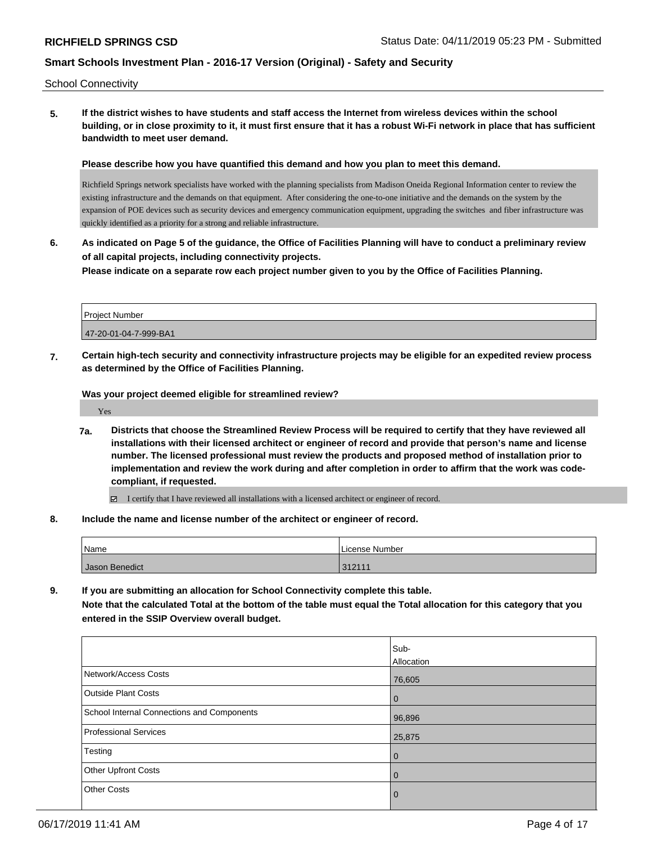School Connectivity

**5. If the district wishes to have students and staff access the Internet from wireless devices within the school building, or in close proximity to it, it must first ensure that it has a robust Wi-Fi network in place that has sufficient bandwidth to meet user demand.**

**Please describe how you have quantified this demand and how you plan to meet this demand.**

Richfield Springs network specialists have worked with the planning specialists from Madison Oneida Regional Information center to review the existing infrastructure and the demands on that equipment. After considering the one-to-one initiative and the demands on the system by the expansion of POE devices such as security devices and emergency communication equipment, upgrading the switches and fiber infrastructure was quickly identified as a priority for a strong and reliable infrastructure.

**6. As indicated on Page 5 of the guidance, the Office of Facilities Planning will have to conduct a preliminary review of all capital projects, including connectivity projects.**

**Please indicate on a separate row each project number given to you by the Office of Facilities Planning.**

| <b>Project Number</b> |  |
|-----------------------|--|
| 47-20-01-04-7-999-BA1 |  |

**7. Certain high-tech security and connectivity infrastructure projects may be eligible for an expedited review process as determined by the Office of Facilities Planning.**

**Was your project deemed eligible for streamlined review?**

Yes

**7a. Districts that choose the Streamlined Review Process will be required to certify that they have reviewed all installations with their licensed architect or engineer of record and provide that person's name and license number. The licensed professional must review the products and proposed method of installation prior to implementation and review the work during and after completion in order to affirm that the work was codecompliant, if requested.**

 $\boxdot$  I certify that I have reviewed all installations with a licensed architect or engineer of record.

**8. Include the name and license number of the architect or engineer of record.**

| Name           | License Number |
|----------------|----------------|
| Jason Benedict | 312111         |

**9. If you are submitting an allocation for School Connectivity complete this table.**

**Note that the calculated Total at the bottom of the table must equal the Total allocation for this category that you entered in the SSIP Overview overall budget.** 

|                                            | Sub-           |
|--------------------------------------------|----------------|
|                                            | Allocation     |
| Network/Access Costs                       | 76,605         |
| <b>Outside Plant Costs</b>                 | $\overline{0}$ |
| School Internal Connections and Components | 96,896         |
| <b>Professional Services</b>               | 25,875         |
| Testing                                    | l 0            |
| Other Upfront Costs                        | $\Omega$       |
| <b>Other Costs</b>                         | $\overline{0}$ |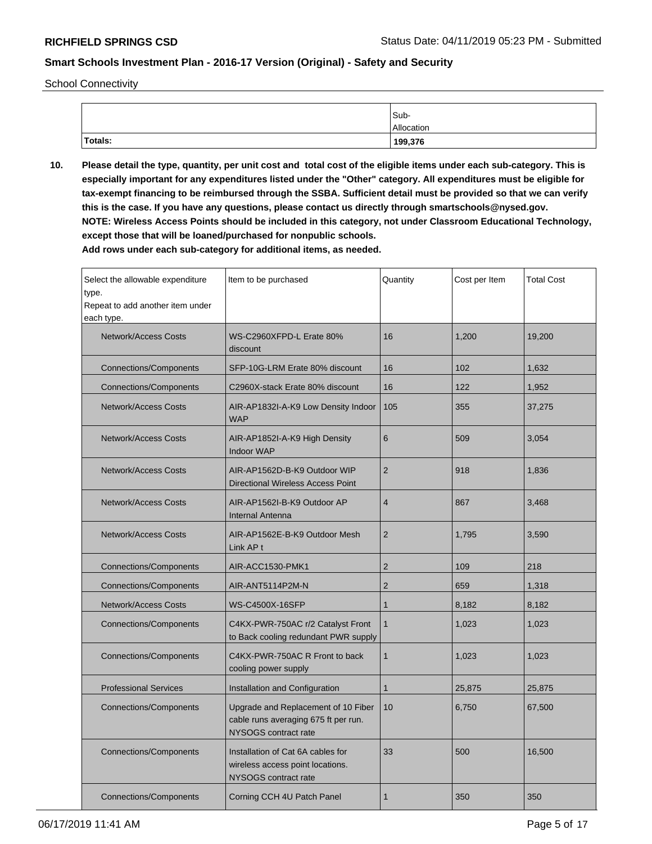School Connectivity

|         | Sub-       |
|---------|------------|
|         | Allocation |
| Totals: | 199,376    |

**10. Please detail the type, quantity, per unit cost and total cost of the eligible items under each sub-category. This is especially important for any expenditures listed under the "Other" category. All expenditures must be eligible for tax-exempt financing to be reimbursed through the SSBA. Sufficient detail must be provided so that we can verify this is the case. If you have any questions, please contact us directly through smartschools@nysed.gov. NOTE: Wireless Access Points should be included in this category, not under Classroom Educational Technology, except those that will be loaned/purchased for nonpublic schools.**

| Select the allowable expenditure<br>type.<br>Repeat to add another item under<br>each type. | Item to be purchased                                                                                | Quantity       | Cost per Item | <b>Total Cost</b> |
|---------------------------------------------------------------------------------------------|-----------------------------------------------------------------------------------------------------|----------------|---------------|-------------------|
| Network/Access Costs                                                                        | WS-C2960XFPD-L Erate 80%<br>discount                                                                | 16             | 1,200         | 19,200            |
| <b>Connections/Components</b>                                                               | SFP-10G-LRM Erate 80% discount                                                                      | 16             | 102           | 1,632             |
| <b>Connections/Components</b>                                                               | C2960X-stack Erate 80% discount                                                                     | 16             | 122           | 1,952             |
| <b>Network/Access Costs</b>                                                                 | AIR-AP1832I-A-K9 Low Density Indoor<br><b>WAP</b>                                                   | 105            | 355           | 37,275            |
| <b>Network/Access Costs</b>                                                                 | AIR-AP1852I-A-K9 High Density<br><b>Indoor WAP</b>                                                  | 6              | 509           | 3,054             |
| <b>Network/Access Costs</b>                                                                 | AIR-AP1562D-B-K9 Outdoor WIP<br>Directional Wireless Access Point                                   | $\overline{2}$ | 918           | 1,836             |
| <b>Network/Access Costs</b>                                                                 | AIR-AP1562I-B-K9 Outdoor AP<br><b>Internal Antenna</b>                                              | $\overline{4}$ | 867           | 3,468             |
| Network/Access Costs                                                                        | AIR-AP1562E-B-K9 Outdoor Mesh<br>Link AP t                                                          | $\overline{2}$ | 1,795         | 3,590             |
| <b>Connections/Components</b>                                                               | AIR-ACC1530-PMK1                                                                                    | $\overline{2}$ | 109           | 218               |
| <b>Connections/Components</b>                                                               | AIR-ANT5114P2M-N                                                                                    | $\overline{2}$ | 659           | 1,318             |
| <b>Network/Access Costs</b>                                                                 | WS-C4500X-16SFP                                                                                     | 1              | 8,182         | 8,182             |
| <b>Connections/Components</b>                                                               | C4KX-PWR-750AC r/2 Catalyst Front<br>to Back cooling redundant PWR supply                           | $\mathbf{1}$   | 1,023         | 1,023             |
| <b>Connections/Components</b>                                                               | C4KX-PWR-750AC R Front to back<br>cooling power supply                                              | $\mathbf{1}$   | 1,023         | 1,023             |
| <b>Professional Services</b>                                                                | Installation and Configuration                                                                      | $\mathbf{1}$   | 25,875        | 25,875            |
| <b>Connections/Components</b>                                                               | Upgrade and Replacement of 10 Fiber<br>cable runs averaging 675 ft per run.<br>NYSOGS contract rate | 10             | 6,750         | 67,500            |
| Connections/Components                                                                      | Installation of Cat 6A cables for<br>wireless access point locations.<br>NYSOGS contract rate       | 33             | 500           | 16,500            |
| <b>Connections/Components</b>                                                               | Corning CCH 4U Patch Panel                                                                          | 1              | 350           | 350               |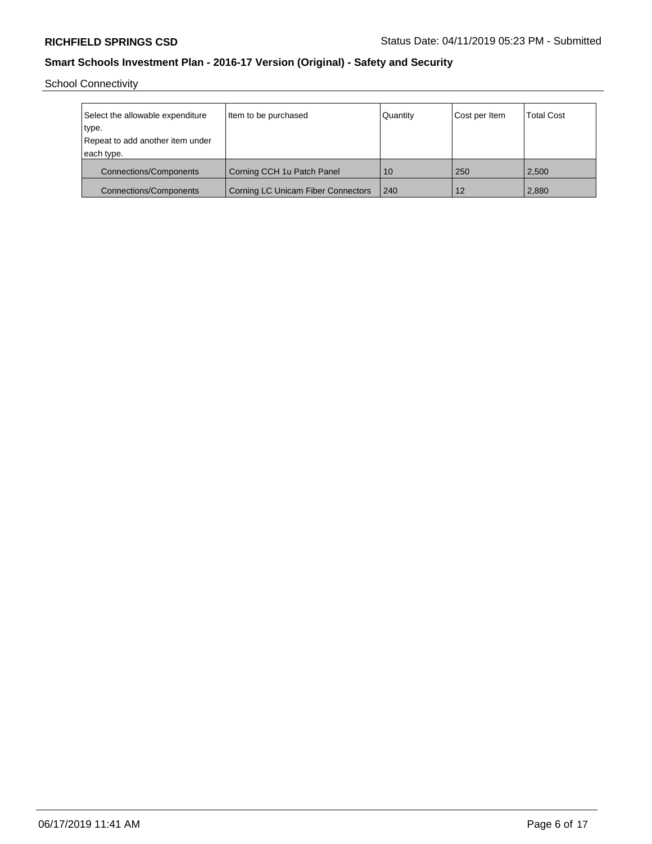School Connectivity

| Select the allowable expenditure<br>type.<br>Repeat to add another item under<br>each type. | Item to be purchased                      | Quantity | Cost per Item | <b>Total Cost</b> |
|---------------------------------------------------------------------------------------------|-------------------------------------------|----------|---------------|-------------------|
| <b>Connections/Components</b>                                                               | Corning CCH 1u Patch Panel                | 10       | 250           | 2,500             |
| <b>Connections/Components</b>                                                               | <b>Corning LC Unicam Fiber Connectors</b> | 240      | 12            | 2,880             |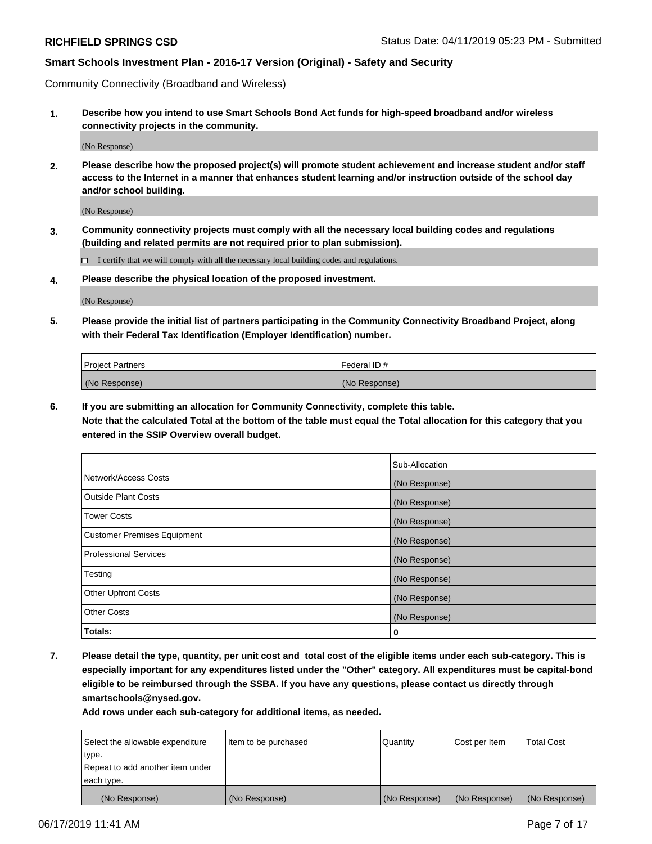Community Connectivity (Broadband and Wireless)

**1. Describe how you intend to use Smart Schools Bond Act funds for high-speed broadband and/or wireless connectivity projects in the community.**

(No Response)

**2. Please describe how the proposed project(s) will promote student achievement and increase student and/or staff access to the Internet in a manner that enhances student learning and/or instruction outside of the school day and/or school building.**

(No Response)

**3. Community connectivity projects must comply with all the necessary local building codes and regulations (building and related permits are not required prior to plan submission).**

 $\Box$  I certify that we will comply with all the necessary local building codes and regulations.

**4. Please describe the physical location of the proposed investment.**

(No Response)

**5. Please provide the initial list of partners participating in the Community Connectivity Broadband Project, along with their Federal Tax Identification (Employer Identification) number.**

| <b>Project Partners</b> | l Federal ID # |
|-------------------------|----------------|
| (No Response)           | (No Response)  |

**6. If you are submitting an allocation for Community Connectivity, complete this table.**

**Note that the calculated Total at the bottom of the table must equal the Total allocation for this category that you entered in the SSIP Overview overall budget.**

|                              | Sub-Allocation |
|------------------------------|----------------|
| Network/Access Costs         | (No Response)  |
| Outside Plant Costs          | (No Response)  |
| <b>Tower Costs</b>           | (No Response)  |
| Customer Premises Equipment  | (No Response)  |
| <b>Professional Services</b> | (No Response)  |
| Testing                      | (No Response)  |
| <b>Other Upfront Costs</b>   | (No Response)  |
| <b>Other Costs</b>           | (No Response)  |
| Totals:                      | 0              |

**7. Please detail the type, quantity, per unit cost and total cost of the eligible items under each sub-category. This is especially important for any expenditures listed under the "Other" category. All expenditures must be capital-bond eligible to be reimbursed through the SSBA. If you have any questions, please contact us directly through smartschools@nysed.gov.**

| Select the allowable expenditure | Item to be purchased | Quantity      | Cost per Item | <b>Total Cost</b> |
|----------------------------------|----------------------|---------------|---------------|-------------------|
| type.                            |                      |               |               |                   |
| Repeat to add another item under |                      |               |               |                   |
| each type.                       |                      |               |               |                   |
| (No Response)                    | (No Response)        | (No Response) | (No Response) | (No Response)     |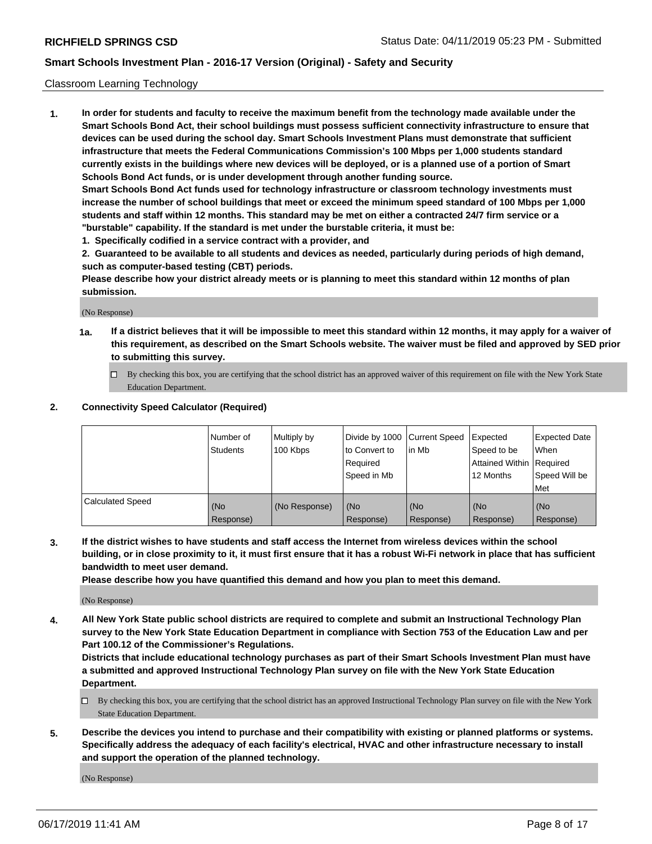#### Classroom Learning Technology

**1. In order for students and faculty to receive the maximum benefit from the technology made available under the Smart Schools Bond Act, their school buildings must possess sufficient connectivity infrastructure to ensure that devices can be used during the school day. Smart Schools Investment Plans must demonstrate that sufficient infrastructure that meets the Federal Communications Commission's 100 Mbps per 1,000 students standard currently exists in the buildings where new devices will be deployed, or is a planned use of a portion of Smart Schools Bond Act funds, or is under development through another funding source. Smart Schools Bond Act funds used for technology infrastructure or classroom technology investments must increase the number of school buildings that meet or exceed the minimum speed standard of 100 Mbps per 1,000**

**students and staff within 12 months. This standard may be met on either a contracted 24/7 firm service or a "burstable" capability. If the standard is met under the burstable criteria, it must be:**

**1. Specifically codified in a service contract with a provider, and**

**2. Guaranteed to be available to all students and devices as needed, particularly during periods of high demand, such as computer-based testing (CBT) periods.**

**Please describe how your district already meets or is planning to meet this standard within 12 months of plan submission.**

(No Response)

- **1a. If a district believes that it will be impossible to meet this standard within 12 months, it may apply for a waiver of this requirement, as described on the Smart Schools website. The waiver must be filed and approved by SED prior to submitting this survey.**
	- By checking this box, you are certifying that the school district has an approved waiver of this requirement on file with the New York State Education Department.

#### **2. Connectivity Speed Calculator (Required)**

|                         | l Number of<br>Students | Multiply by<br>100 Kbps | to Convert to<br>Required<br>Speed in Mb | Divide by 1000 Current Speed Expected<br>lin Mb | Speed to be<br>Attained Within Required<br>12 Months | <b>Expected Date</b><br>When<br>Speed Will be<br>Met |
|-------------------------|-------------------------|-------------------------|------------------------------------------|-------------------------------------------------|------------------------------------------------------|------------------------------------------------------|
| <b>Calculated Speed</b> | (No<br>Response)        | (No Response)           | (No<br>Response)                         | (No<br>Response)                                | (No<br>Response)                                     | (No<br>Response)                                     |

**3. If the district wishes to have students and staff access the Internet from wireless devices within the school building, or in close proximity to it, it must first ensure that it has a robust Wi-Fi network in place that has sufficient bandwidth to meet user demand.**

**Please describe how you have quantified this demand and how you plan to meet this demand.**

(No Response)

**4. All New York State public school districts are required to complete and submit an Instructional Technology Plan survey to the New York State Education Department in compliance with Section 753 of the Education Law and per Part 100.12 of the Commissioner's Regulations.**

**Districts that include educational technology purchases as part of their Smart Schools Investment Plan must have a submitted and approved Instructional Technology Plan survey on file with the New York State Education Department.**

- $\Box$  By checking this box, you are certifying that the school district has an approved Instructional Technology Plan survey on file with the New York State Education Department.
- **5. Describe the devices you intend to purchase and their compatibility with existing or planned platforms or systems. Specifically address the adequacy of each facility's electrical, HVAC and other infrastructure necessary to install and support the operation of the planned technology.**

(No Response)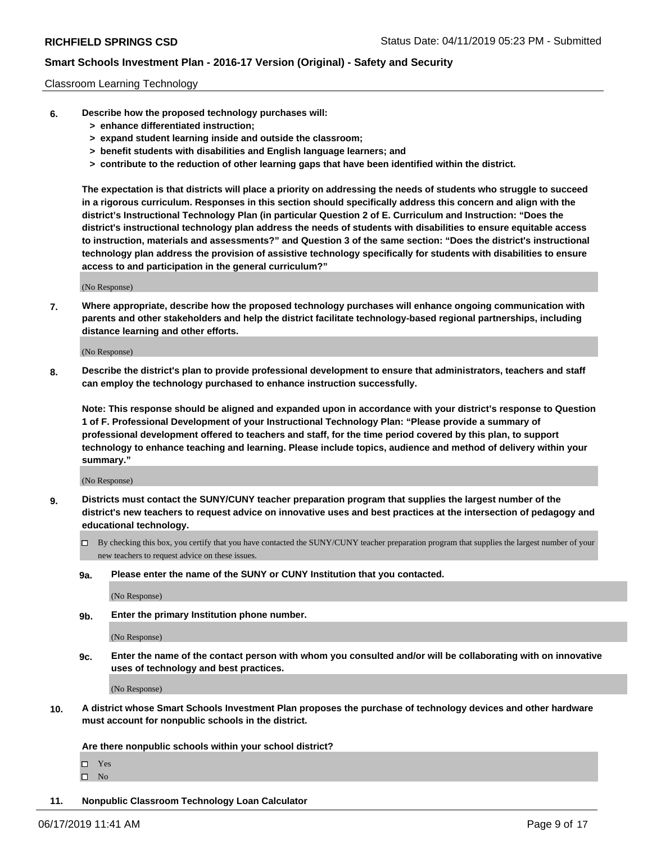#### Classroom Learning Technology

- **6. Describe how the proposed technology purchases will:**
	- **> enhance differentiated instruction;**
	- **> expand student learning inside and outside the classroom;**
	- **> benefit students with disabilities and English language learners; and**
	- **> contribute to the reduction of other learning gaps that have been identified within the district.**

**The expectation is that districts will place a priority on addressing the needs of students who struggle to succeed in a rigorous curriculum. Responses in this section should specifically address this concern and align with the district's Instructional Technology Plan (in particular Question 2 of E. Curriculum and Instruction: "Does the district's instructional technology plan address the needs of students with disabilities to ensure equitable access to instruction, materials and assessments?" and Question 3 of the same section: "Does the district's instructional technology plan address the provision of assistive technology specifically for students with disabilities to ensure access to and participation in the general curriculum?"**

(No Response)

**7. Where appropriate, describe how the proposed technology purchases will enhance ongoing communication with parents and other stakeholders and help the district facilitate technology-based regional partnerships, including distance learning and other efforts.**

(No Response)

**8. Describe the district's plan to provide professional development to ensure that administrators, teachers and staff can employ the technology purchased to enhance instruction successfully.**

**Note: This response should be aligned and expanded upon in accordance with your district's response to Question 1 of F. Professional Development of your Instructional Technology Plan: "Please provide a summary of professional development offered to teachers and staff, for the time period covered by this plan, to support technology to enhance teaching and learning. Please include topics, audience and method of delivery within your summary."**

(No Response)

- **9. Districts must contact the SUNY/CUNY teacher preparation program that supplies the largest number of the district's new teachers to request advice on innovative uses and best practices at the intersection of pedagogy and educational technology.**
	- By checking this box, you certify that you have contacted the SUNY/CUNY teacher preparation program that supplies the largest number of your new teachers to request advice on these issues.
	- **9a. Please enter the name of the SUNY or CUNY Institution that you contacted.**

(No Response)

**9b. Enter the primary Institution phone number.**

(No Response)

**9c. Enter the name of the contact person with whom you consulted and/or will be collaborating with on innovative uses of technology and best practices.**

(No Response)

**10. A district whose Smart Schools Investment Plan proposes the purchase of technology devices and other hardware must account for nonpublic schools in the district.**

**Are there nonpublic schools within your school district?**

Yes

 $\square$  No

**11. Nonpublic Classroom Technology Loan Calculator**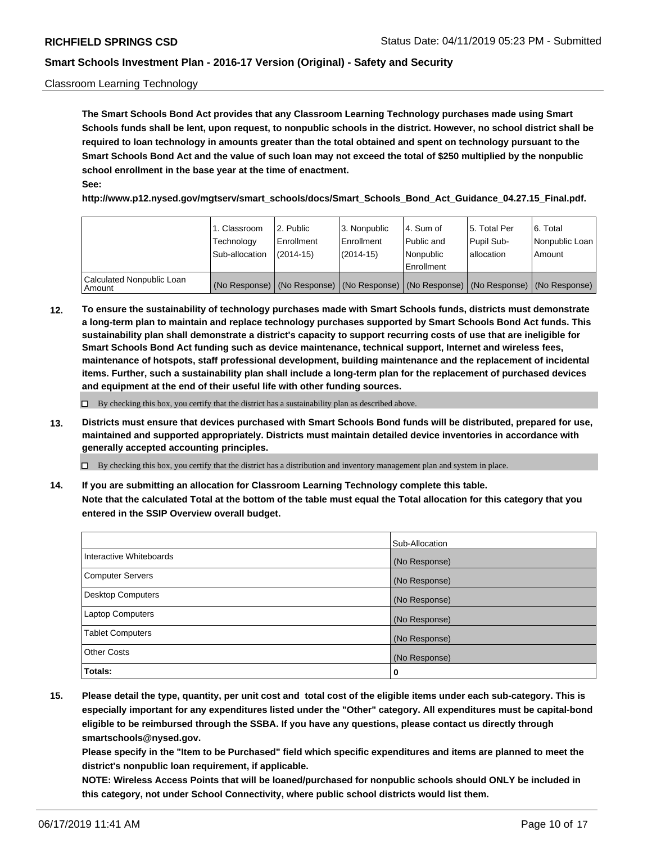#### Classroom Learning Technology

**The Smart Schools Bond Act provides that any Classroom Learning Technology purchases made using Smart Schools funds shall be lent, upon request, to nonpublic schools in the district. However, no school district shall be required to loan technology in amounts greater than the total obtained and spent on technology pursuant to the Smart Schools Bond Act and the value of such loan may not exceed the total of \$250 multiplied by the nonpublic school enrollment in the base year at the time of enactment. See:**

**http://www.p12.nysed.gov/mgtserv/smart\_schools/docs/Smart\_Schools\_Bond\_Act\_Guidance\_04.27.15\_Final.pdf.**

|                                       | 1. Classroom<br>Technology<br>Sub-allocation | 2. Public<br>l Enrollment<br>(2014-15) | l 3. Nonpublic<br>l Enrollment<br>$(2014 - 15)$ | l 4. Sum of<br>l Public and<br>l Nonpublic<br>Enrollment                                      | 15. Total Per<br>Pupil Sub-<br>l allocation | l 6. Total<br>Nonpublic Loan<br>Amount |
|---------------------------------------|----------------------------------------------|----------------------------------------|-------------------------------------------------|-----------------------------------------------------------------------------------------------|---------------------------------------------|----------------------------------------|
| Calculated Nonpublic Loan<br>l Amount |                                              |                                        |                                                 | (No Response)   (No Response)   (No Response)   (No Response)   (No Response)   (No Response) |                                             |                                        |

**12. To ensure the sustainability of technology purchases made with Smart Schools funds, districts must demonstrate a long-term plan to maintain and replace technology purchases supported by Smart Schools Bond Act funds. This sustainability plan shall demonstrate a district's capacity to support recurring costs of use that are ineligible for Smart Schools Bond Act funding such as device maintenance, technical support, Internet and wireless fees, maintenance of hotspots, staff professional development, building maintenance and the replacement of incidental items. Further, such a sustainability plan shall include a long-term plan for the replacement of purchased devices and equipment at the end of their useful life with other funding sources.**

 $\Box$  By checking this box, you certify that the district has a sustainability plan as described above.

**13. Districts must ensure that devices purchased with Smart Schools Bond funds will be distributed, prepared for use, maintained and supported appropriately. Districts must maintain detailed device inventories in accordance with generally accepted accounting principles.**

By checking this box, you certify that the district has a distribution and inventory management plan and system in place.

**14. If you are submitting an allocation for Classroom Learning Technology complete this table. Note that the calculated Total at the bottom of the table must equal the Total allocation for this category that you entered in the SSIP Overview overall budget.**

|                         | Sub-Allocation |
|-------------------------|----------------|
| Interactive Whiteboards | (No Response)  |
| Computer Servers        | (No Response)  |
| Desktop Computers       | (No Response)  |
| <b>Laptop Computers</b> | (No Response)  |
| <b>Tablet Computers</b> | (No Response)  |
| <b>Other Costs</b>      | (No Response)  |
| Totals:                 | 0              |

**15. Please detail the type, quantity, per unit cost and total cost of the eligible items under each sub-category. This is especially important for any expenditures listed under the "Other" category. All expenditures must be capital-bond eligible to be reimbursed through the SSBA. If you have any questions, please contact us directly through smartschools@nysed.gov.**

**Please specify in the "Item to be Purchased" field which specific expenditures and items are planned to meet the district's nonpublic loan requirement, if applicable.**

**NOTE: Wireless Access Points that will be loaned/purchased for nonpublic schools should ONLY be included in this category, not under School Connectivity, where public school districts would list them.**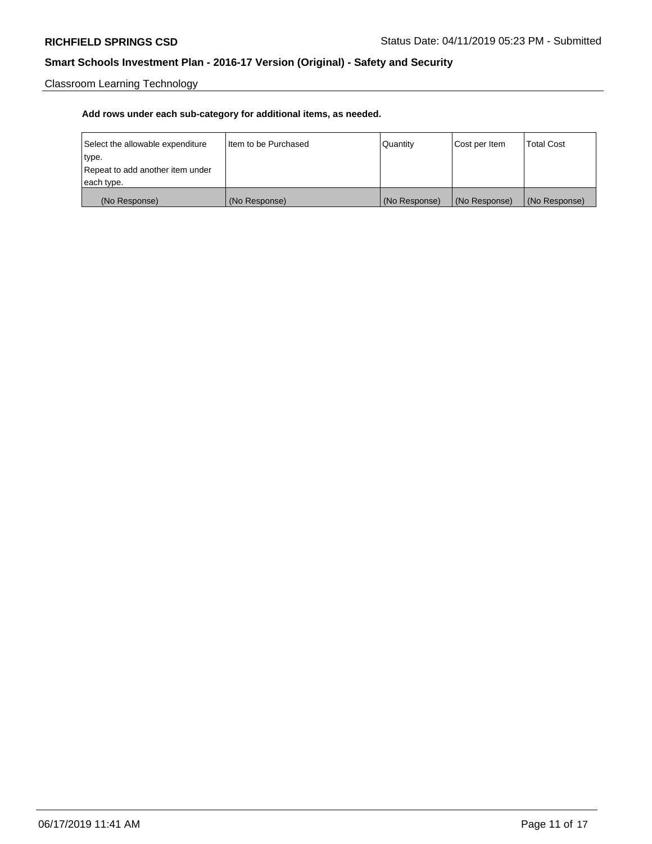Classroom Learning Technology

| Select the allowable expenditure | Iltem to be Purchased | Quantity      | Cost per Item | <b>Total Cost</b> |
|----------------------------------|-----------------------|---------------|---------------|-------------------|
| type.                            |                       |               |               |                   |
| Repeat to add another item under |                       |               |               |                   |
| each type.                       |                       |               |               |                   |
| (No Response)                    | (No Response)         | (No Response) | (No Response) | (No Response)     |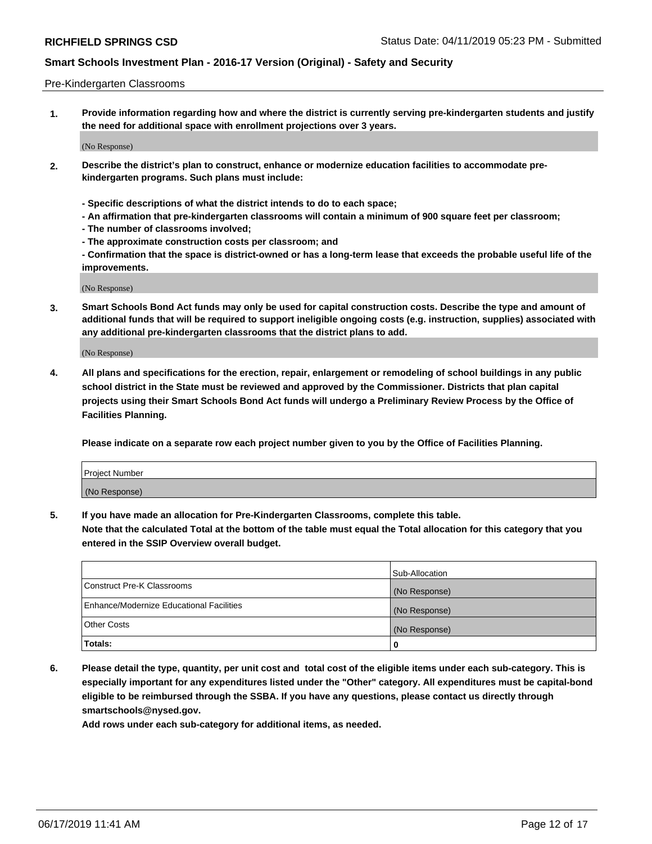#### Pre-Kindergarten Classrooms

**1. Provide information regarding how and where the district is currently serving pre-kindergarten students and justify the need for additional space with enrollment projections over 3 years.**

(No Response)

- **2. Describe the district's plan to construct, enhance or modernize education facilities to accommodate prekindergarten programs. Such plans must include:**
	- **Specific descriptions of what the district intends to do to each space;**
	- **An affirmation that pre-kindergarten classrooms will contain a minimum of 900 square feet per classroom;**
	- **The number of classrooms involved;**
	- **The approximate construction costs per classroom; and**
	- **Confirmation that the space is district-owned or has a long-term lease that exceeds the probable useful life of the improvements.**

(No Response)

**3. Smart Schools Bond Act funds may only be used for capital construction costs. Describe the type and amount of additional funds that will be required to support ineligible ongoing costs (e.g. instruction, supplies) associated with any additional pre-kindergarten classrooms that the district plans to add.**

(No Response)

**4. All plans and specifications for the erection, repair, enlargement or remodeling of school buildings in any public school district in the State must be reviewed and approved by the Commissioner. Districts that plan capital projects using their Smart Schools Bond Act funds will undergo a Preliminary Review Process by the Office of Facilities Planning.**

**Please indicate on a separate row each project number given to you by the Office of Facilities Planning.**

| Project Number |  |
|----------------|--|
| (No Response)  |  |
|                |  |

**5. If you have made an allocation for Pre-Kindergarten Classrooms, complete this table.**

**Note that the calculated Total at the bottom of the table must equal the Total allocation for this category that you entered in the SSIP Overview overall budget.**

|                                          | Sub-Allocation |
|------------------------------------------|----------------|
| Construct Pre-K Classrooms               | (No Response)  |
| Enhance/Modernize Educational Facilities | (No Response)  |
| <b>Other Costs</b>                       | (No Response)  |
| Totals:                                  | 0              |

**6. Please detail the type, quantity, per unit cost and total cost of the eligible items under each sub-category. This is especially important for any expenditures listed under the "Other" category. All expenditures must be capital-bond eligible to be reimbursed through the SSBA. If you have any questions, please contact us directly through smartschools@nysed.gov.**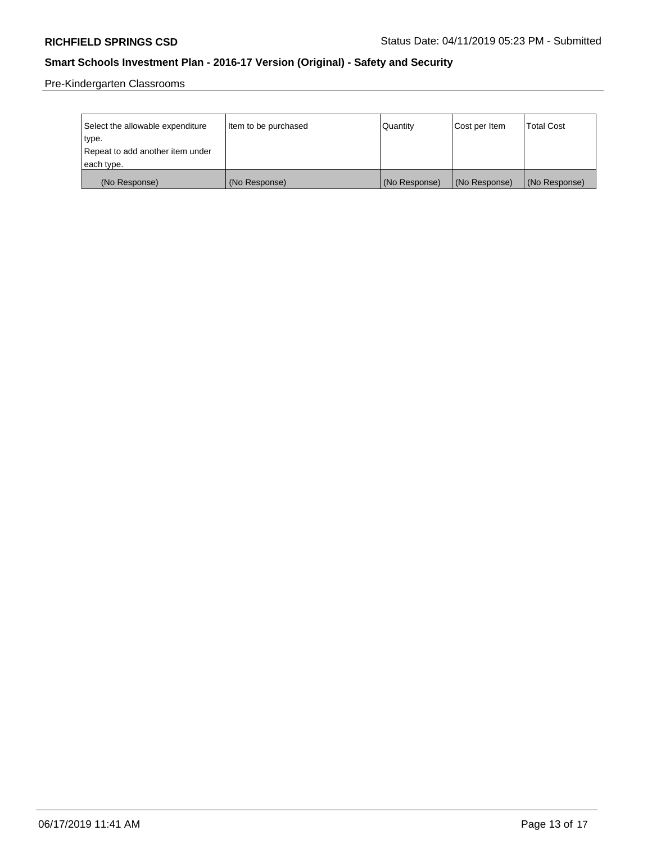Pre-Kindergarten Classrooms

| Select the allowable expenditure | Item to be purchased | Quantity      | Cost per Item | <b>Total Cost</b> |
|----------------------------------|----------------------|---------------|---------------|-------------------|
| type.                            |                      |               |               |                   |
| Repeat to add another item under |                      |               |               |                   |
| each type.                       |                      |               |               |                   |
| (No Response)                    | (No Response)        | (No Response) | (No Response) | (No Response)     |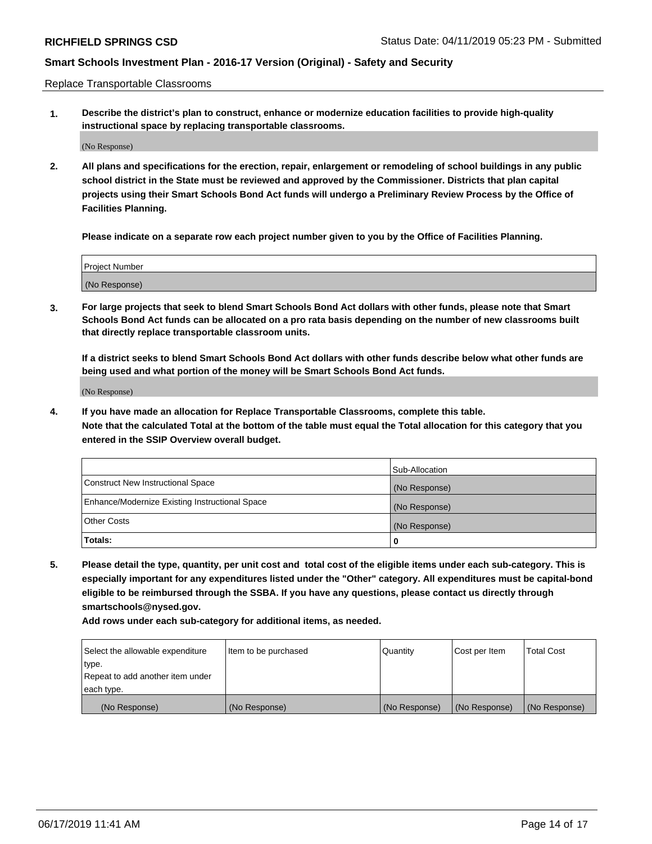Replace Transportable Classrooms

**1. Describe the district's plan to construct, enhance or modernize education facilities to provide high-quality instructional space by replacing transportable classrooms.**

(No Response)

**2. All plans and specifications for the erection, repair, enlargement or remodeling of school buildings in any public school district in the State must be reviewed and approved by the Commissioner. Districts that plan capital projects using their Smart Schools Bond Act funds will undergo a Preliminary Review Process by the Office of Facilities Planning.**

**Please indicate on a separate row each project number given to you by the Office of Facilities Planning.**

| Project Number |  |
|----------------|--|
|                |  |
|                |  |
|                |  |
|                |  |
| (No Response)  |  |
|                |  |
|                |  |
|                |  |

**3. For large projects that seek to blend Smart Schools Bond Act dollars with other funds, please note that Smart Schools Bond Act funds can be allocated on a pro rata basis depending on the number of new classrooms built that directly replace transportable classroom units.**

**If a district seeks to blend Smart Schools Bond Act dollars with other funds describe below what other funds are being used and what portion of the money will be Smart Schools Bond Act funds.**

(No Response)

**4. If you have made an allocation for Replace Transportable Classrooms, complete this table. Note that the calculated Total at the bottom of the table must equal the Total allocation for this category that you entered in the SSIP Overview overall budget.**

|                                                | Sub-Allocation |
|------------------------------------------------|----------------|
| Construct New Instructional Space              | (No Response)  |
| Enhance/Modernize Existing Instructional Space | (No Response)  |
| <b>Other Costs</b>                             | (No Response)  |
| Totals:                                        | 0              |

**5. Please detail the type, quantity, per unit cost and total cost of the eligible items under each sub-category. This is especially important for any expenditures listed under the "Other" category. All expenditures must be capital-bond eligible to be reimbursed through the SSBA. If you have any questions, please contact us directly through smartschools@nysed.gov.**

| Select the allowable expenditure | Item to be purchased | l Quantitv    | Cost per Item | <b>Total Cost</b> |
|----------------------------------|----------------------|---------------|---------------|-------------------|
| type.                            |                      |               |               |                   |
| Repeat to add another item under |                      |               |               |                   |
| each type.                       |                      |               |               |                   |
| (No Response)                    | (No Response)        | (No Response) | (No Response) | (No Response)     |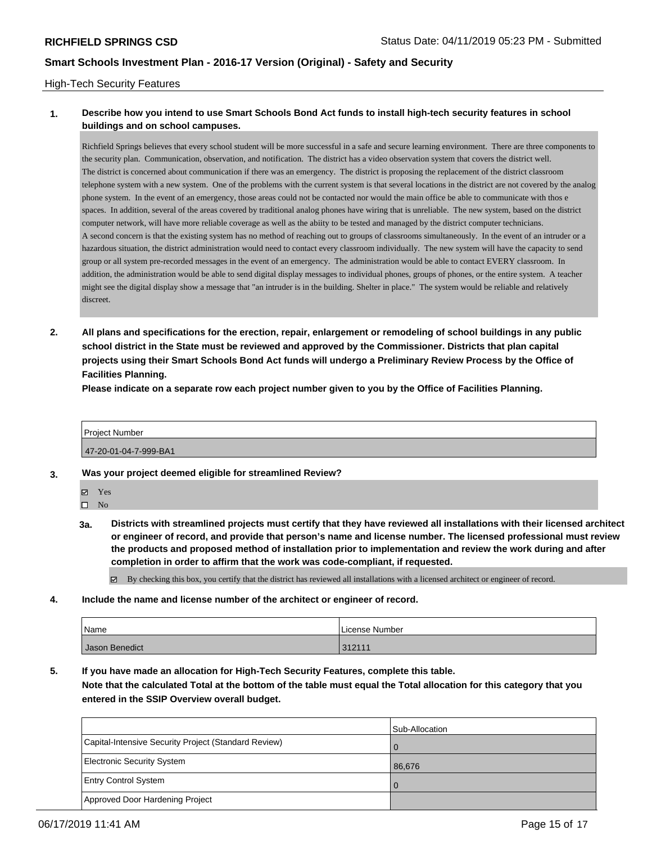#### High-Tech Security Features

#### **1. Describe how you intend to use Smart Schools Bond Act funds to install high-tech security features in school buildings and on school campuses.**

Richfield Springs believes that every school student will be more successful in a safe and secure learning environment. There are three components to the security plan. Communication, observation, and notification. The district has a video observation system that covers the district well. The district is concerned about communication if there was an emergency. The district is proposing the replacement of the district classroom telephone system with a new system. One of the problems with the current system is that several locations in the district are not covered by the analog phone system. In the event of an emergency, those areas could not be contacted nor would the main office be able to communicate with thos e spaces. In addition, several of the areas covered by traditional analog phones have wiring that is unreliable. The new system, based on the district computer network, will have more reliable coverage as well as the abiity to be tested and managed by the district computer technicians. A second concern is that the existing system has no method of reaching out to groups of classrooms simultaneously. In the event of an intruder or a hazardous situation, the district administration would need to contact every classroom individually. The new system will have the capacity to send group or all system pre-recorded messages in the event of an emergency. The administration would be able to contact EVERY classroom. In addition, the administration would be able to send digital display messages to individual phones, groups of phones, or the entire system. A teacher might see the digital display show a message that "an intruder is in the building. Shelter in place." The system would be reliable and relatively discreet.

**2. All plans and specifications for the erection, repair, enlargement or remodeling of school buildings in any public school district in the State must be reviewed and approved by the Commissioner. Districts that plan capital projects using their Smart Schools Bond Act funds will undergo a Preliminary Review Process by the Office of Facilities Planning.** 

**Please indicate on a separate row each project number given to you by the Office of Facilities Planning.**

# Project Number 47-20-01-04-7-999-BA1

- **3. Was your project deemed eligible for streamlined Review?**
	- Yes

 $\square$  No

**3a. Districts with streamlined projects must certify that they have reviewed all installations with their licensed architect or engineer of record, and provide that person's name and license number. The licensed professional must review the products and proposed method of installation prior to implementation and review the work during and after completion in order to affirm that the work was code-compliant, if requested.**

By checking this box, you certify that the district has reviewed all installations with a licensed architect or engineer of record.

**4. Include the name and license number of the architect or engineer of record.**

| Name           | License Number |
|----------------|----------------|
| Jason Benedict | 312111         |

**5. If you have made an allocation for High-Tech Security Features, complete this table.**

**Note that the calculated Total at the bottom of the table must equal the Total allocation for this category that you entered in the SSIP Overview overall budget.**

|                                                      | Sub-Allocation |
|------------------------------------------------------|----------------|
| Capital-Intensive Security Project (Standard Review) |                |
| Electronic Security System                           | 86.676         |
| <b>Entry Control System</b>                          |                |
| Approved Door Hardening Project                      |                |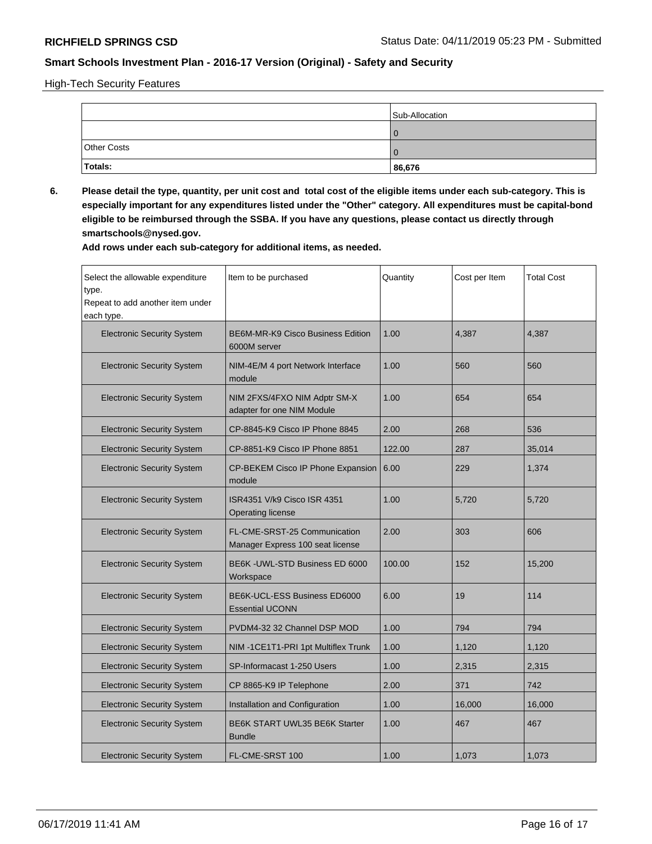High-Tech Security Features

|                    | Sub-Allocation |
|--------------------|----------------|
|                    |                |
| <b>Other Costs</b> |                |
| Totals:            | 86,676         |

**6. Please detail the type, quantity, per unit cost and total cost of the eligible items under each sub-category. This is especially important for any expenditures listed under the "Other" category. All expenditures must be capital-bond eligible to be reimbursed through the SSBA. If you have any questions, please contact us directly through smartschools@nysed.gov.**

| Select the allowable expenditure<br>type.<br>Repeat to add another item under<br>each type. | Item to be purchased                                             | Quantity | Cost per Item | <b>Total Cost</b> |
|---------------------------------------------------------------------------------------------|------------------------------------------------------------------|----------|---------------|-------------------|
| <b>Electronic Security System</b>                                                           | BE6M-MR-K9 Cisco Business Edition<br>6000M server                | 1.00     | 4,387         | 4,387             |
| <b>Electronic Security System</b>                                                           | NIM-4E/M 4 port Network Interface<br>module                      | 1.00     | 560           | 560               |
| <b>Electronic Security System</b>                                                           | NIM 2FXS/4FXO NIM Adptr SM-X<br>adapter for one NIM Module       | 1.00     | 654           | 654               |
| <b>Electronic Security System</b>                                                           | CP-8845-K9 Cisco IP Phone 8845                                   | 2.00     | 268           | 536               |
| <b>Electronic Security System</b>                                                           | CP-8851-K9 Cisco IP Phone 8851                                   | 122.00   | 287           | 35,014            |
| <b>Electronic Security System</b>                                                           | CP-BEKEM Cisco IP Phone Expansion<br>module                      | 6.00     | 229           | 1,374             |
| <b>Electronic Security System</b>                                                           | ISR4351 V/k9 Cisco ISR 4351<br><b>Operating license</b>          | 1.00     | 5,720         | 5,720             |
| <b>Electronic Security System</b>                                                           | FL-CME-SRST-25 Communication<br>Manager Express 100 seat license | 2.00     | 303           | 606               |
| <b>Electronic Security System</b>                                                           | BE6K - UWL-STD Business ED 6000<br>Workspace                     | 100.00   | 152           | 15,200            |
| <b>Electronic Security System</b>                                                           | BE6K-UCL-ESS Business ED6000<br><b>Essential UCONN</b>           | 6.00     | 19            | 114               |
| <b>Electronic Security System</b>                                                           | PVDM4-32 32 Channel DSP MOD                                      | 1.00     | 794           | 794               |
| <b>Electronic Security System</b>                                                           | NIM-1CE1T1-PRI 1pt Multiflex Trunk                               | 1.00     | 1,120         | 1,120             |
| <b>Electronic Security System</b>                                                           | SP-Informacast 1-250 Users                                       | 1.00     | 2,315         | 2,315             |
| <b>Electronic Security System</b>                                                           | CP 8865-K9 IP Telephone                                          | 2.00     | 371           | 742               |
| <b>Electronic Security System</b>                                                           | Installation and Configuration                                   | 1.00     | 16,000        | 16,000            |
| <b>Electronic Security System</b>                                                           | BE6K START UWL35 BE6K Starter<br><b>Bundle</b>                   | 1.00     | 467           | 467               |
| <b>Electronic Security System</b>                                                           | FL-CME-SRST 100                                                  | 1.00     | 1,073         | 1,073             |